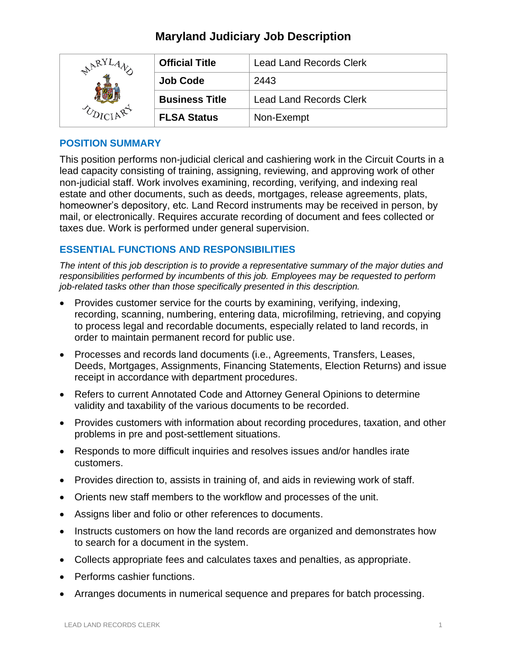# **Maryland Judiciary Job Description**

| AR <sup>y</sup> | <b>Official Title</b> | <b>Lead Land Records Clerk</b> |
|-----------------|-----------------------|--------------------------------|
|                 | <b>Job Code</b>       | 2443                           |
|                 | <b>Business Title</b> | <b>Lead Land Records Clerk</b> |
|                 | <b>FLSA Status</b>    | Non-Exempt                     |

#### **POSITION SUMMARY**

This position performs non-judicial clerical and cashiering work in the Circuit Courts in a lead capacity consisting of training, assigning, reviewing, and approving work of other non-judicial staff. Work involves examining, recording, verifying, and indexing real estate and other documents, such as deeds, mortgages, release agreements, plats, homeowner's depository, etc. Land Record instruments may be received in person, by mail, or electronically. Requires accurate recording of document and fees collected or taxes due. Work is performed under general supervision.

## **ESSENTIAL FUNCTIONS AND RESPONSIBILITIES**

*The intent of this job description is to provide a representative summary of the major duties and responsibilities performed by incumbents of this job. Employees may be requested to perform job-related tasks other than those specifically presented in this description.*

- Provides customer service for the courts by examining, verifying, indexing, recording, scanning, numbering, entering data, microfilming, retrieving, and copying to process legal and recordable documents, especially related to land records, in order to maintain permanent record for public use.
- Processes and records land documents (i.e., Agreements, Transfers, Leases, Deeds, Mortgages, Assignments, Financing Statements, Election Returns) and issue receipt in accordance with department procedures.
- Refers to current Annotated Code and Attorney General Opinions to determine validity and taxability of the various documents to be recorded.
- Provides customers with information about recording procedures, taxation, and other problems in pre and post-settlement situations.
- Responds to more difficult inquiries and resolves issues and/or handles irate customers.
- Provides direction to, assists in training of, and aids in reviewing work of staff.
- Orients new staff members to the workflow and processes of the unit.
- Assigns liber and folio or other references to documents.
- Instructs customers on how the land records are organized and demonstrates how to search for a document in the system.
- Collects appropriate fees and calculates taxes and penalties, as appropriate.
- Performs cashier functions.
- Arranges documents in numerical sequence and prepares for batch processing.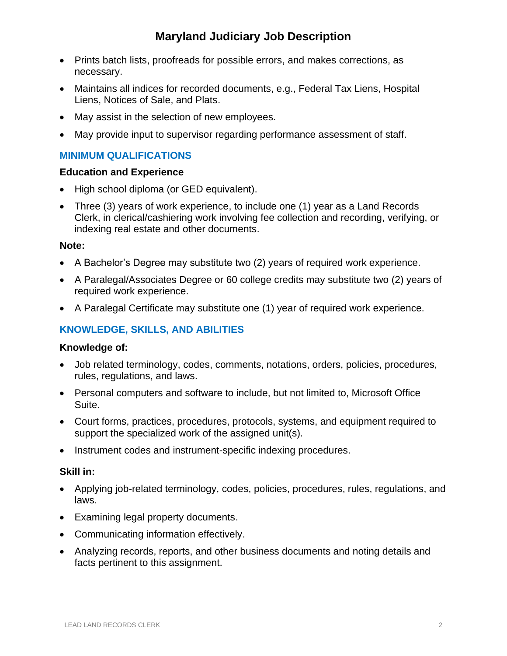# **Maryland Judiciary Job Description**

- Prints batch lists, proofreads for possible errors, and makes corrections, as necessary.
- Maintains all indices for recorded documents, e.g., Federal Tax Liens, Hospital Liens, Notices of Sale, and Plats.
- May assist in the selection of new employees.
- May provide input to supervisor regarding performance assessment of staff.

## **MINIMUM QUALIFICATIONS**

#### **Education and Experience**

- High school diploma (or GED equivalent).
- Three (3) years of work experience, to include one (1) year as a Land Records Clerk, in clerical/cashiering work involving fee collection and recording, verifying, or indexing real estate and other documents.

#### **Note:**

- A Bachelor's Degree may substitute two (2) years of required work experience.
- A Paralegal/Associates Degree or 60 college credits may substitute two (2) years of required work experience.
- A Paralegal Certificate may substitute one (1) year of required work experience.

# **KNOWLEDGE, SKILLS, AND ABILITIES**

#### **Knowledge of:**

- Job related terminology, codes, comments, notations, orders, policies, procedures, rules, regulations, and laws.
- Personal computers and software to include, but not limited to, Microsoft Office Suite.
- Court forms, practices, procedures, protocols, systems, and equipment required to support the specialized work of the assigned unit(s).
- Instrument codes and instrument-specific indexing procedures.

### **Skill in:**

- Applying job-related terminology, codes, policies, procedures, rules, regulations, and laws.
- Examining legal property documents.
- Communicating information effectively.
- Analyzing records, reports, and other business documents and noting details and facts pertinent to this assignment.